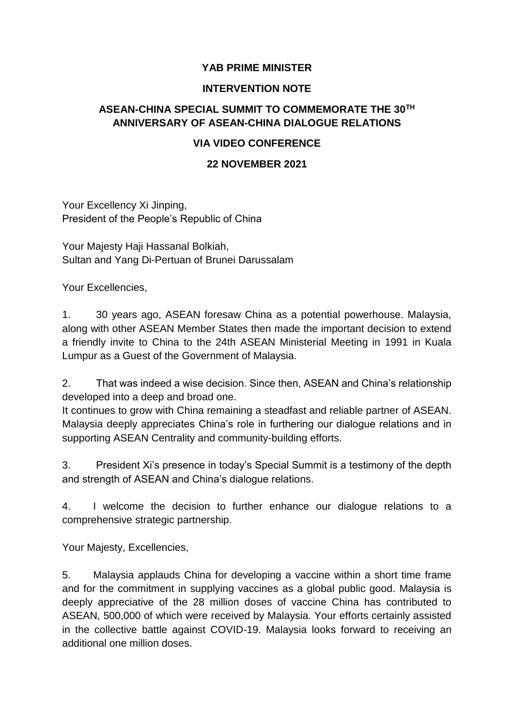## **YAB PRIME MINISTER**

#### **INTERVENTION NOTE**

# **ASEAN-CHINA SPECIAL SUMMIT TO COMMEMORATE THE 30TH ANNIVERSARY OF ASEAN-CHINA DIALOGUE RELATIONS**

## **VIA VIDEO CONFERENCE**

### **22 NOVEMBER 2021**

Your Excellency Xi Jinping, President of the People's Republic of China

Your Majesty Haji Hassanal Bolkiah, Sultan and Yang Di-Pertuan of Brunei Darussalam

Your Excellencies,

1. 30 years ago, ASEAN foresaw China as a potential powerhouse. Malaysia, along with other ASEAN Member States then made the important decision to extend a friendly invite to China to the 24th ASEAN Ministerial Meeting in 1991 in Kuala Lumpur as a Guest of the Government of Malaysia.

2. That was indeed a wise decision. Since then, ASEAN and China's relationship developed into a deep and broad one.

It continues to grow with China remaining a steadfast and reliable partner of ASEAN. Malaysia deeply appreciates China's role in furthering our dialogue relations and in supporting ASEAN Centrality and community-building efforts.

3. President Xi's presence in today's Special Summit is a testimony of the depth and strength of ASEAN and China's dialogue relations.

4. I welcome the decision to further enhance our dialogue relations to a comprehensive strategic partnership.

Your Majesty, Excellencies,

5. Malaysia applauds China for developing a vaccine within a short time frame and for the commitment in supplying vaccines as a global public good. Malaysia is deeply appreciative of the 28 million doses of vaccine China has contributed to ASEAN, 500,000 of which were received by Malaysia. Your efforts certainly assisted in the collective battle against COVID-19. Malaysia looks forward to receiving an additional one million doses.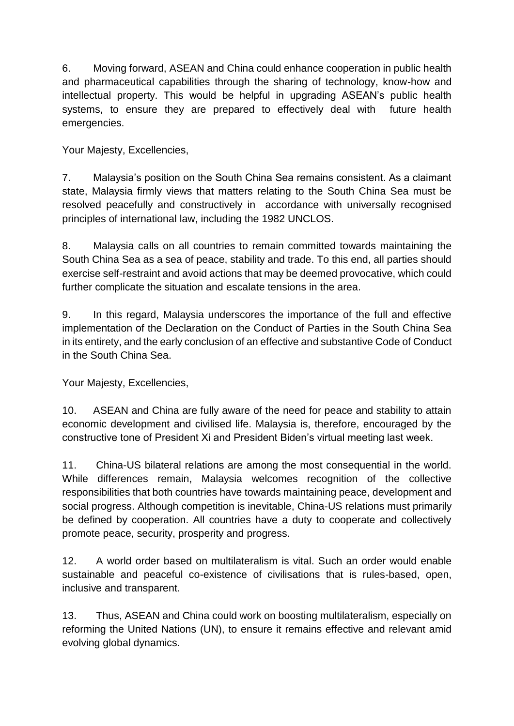6. Moving forward, ASEAN and China could enhance cooperation in public health and pharmaceutical capabilities through the sharing of technology, know-how and intellectual property. This would be helpful in upgrading ASEAN's public health systems, to ensure they are prepared to effectively deal with future health emergencies.

Your Majesty, Excellencies,

7. Malaysia's position on the South China Sea remains consistent. As a claimant state, Malaysia firmly views that matters relating to the South China Sea must be resolved peacefully and constructively in accordance with universally recognised principles of international law, including the 1982 UNCLOS.

8. Malaysia calls on all countries to remain committed towards maintaining the South China Sea as a sea of peace, stability and trade. To this end, all parties should exercise self-restraint and avoid actions that may be deemed provocative, which could further complicate the situation and escalate tensions in the area.

9. In this regard, Malaysia underscores the importance of the full and effective implementation of the Declaration on the Conduct of Parties in the South China Sea in its entirety, and the early conclusion of an effective and substantive Code of Conduct in the South China Sea.

Your Majesty, Excellencies,

10. ASEAN and China are fully aware of the need for peace and stability to attain economic development and civilised life. Malaysia is, therefore, encouraged by the constructive tone of President Xi and President Biden's virtual meeting last week.

11. China-US bilateral relations are among the most consequential in the world. While differences remain, Malaysia welcomes recognition of the collective responsibilities that both countries have towards maintaining peace, development and social progress. Although competition is inevitable, China-US relations must primarily be defined by cooperation. All countries have a duty to cooperate and collectively promote peace, security, prosperity and progress.

12. A world order based on multilateralism is vital. Such an order would enable sustainable and peaceful co-existence of civilisations that is rules-based, open, inclusive and transparent.

13. Thus, ASEAN and China could work on boosting multilateralism, especially on reforming the United Nations (UN), to ensure it remains effective and relevant amid evolving global dynamics.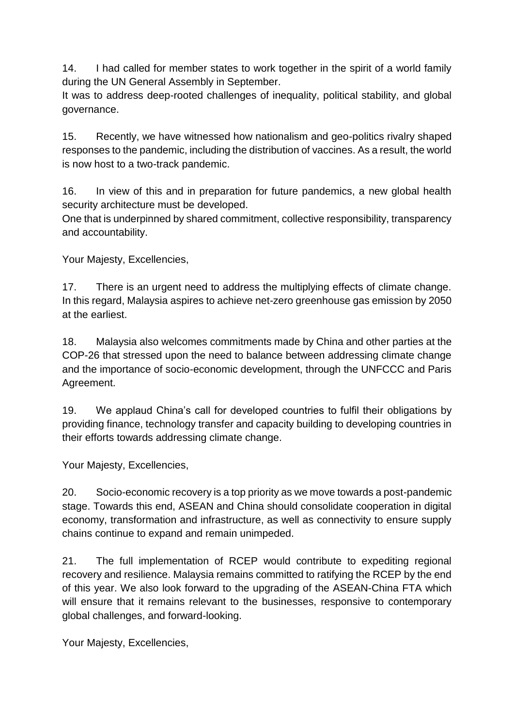14. I had called for member states to work together in the spirit of a world family during the UN General Assembly in September.

It was to address deep-rooted challenges of inequality, political stability, and global governance.

15. Recently, we have witnessed how nationalism and geo-politics rivalry shaped responses to the pandemic, including the distribution of vaccines. As a result, the world is now host to a two-track pandemic.

16. In view of this and in preparation for future pandemics, a new global health security architecture must be developed.

One that is underpinned by shared commitment, collective responsibility, transparency and accountability.

Your Majesty, Excellencies,

17. There is an urgent need to address the multiplying effects of climate change. In this regard, Malaysia aspires to achieve net-zero greenhouse gas emission by 2050 at the earliest.

18. Malaysia also welcomes commitments made by China and other parties at the COP-26 that stressed upon the need to balance between addressing climate change and the importance of socio-economic development, through the UNFCCC and Paris Agreement.

19. We applaud China's call for developed countries to fulfil their obligations by providing finance, technology transfer and capacity building to developing countries in their efforts towards addressing climate change.

Your Majesty, Excellencies,

20. Socio-economic recovery is a top priority as we move towards a post-pandemic stage. Towards this end, ASEAN and China should consolidate cooperation in digital economy, transformation and infrastructure, as well as connectivity to ensure supply chains continue to expand and remain unimpeded.

21. The full implementation of RCEP would contribute to expediting regional recovery and resilience. Malaysia remains committed to ratifying the RCEP by the end of this year. We also look forward to the upgrading of the ASEAN-China FTA which will ensure that it remains relevant to the businesses, responsive to contemporary global challenges, and forward-looking.

Your Majesty, Excellencies,